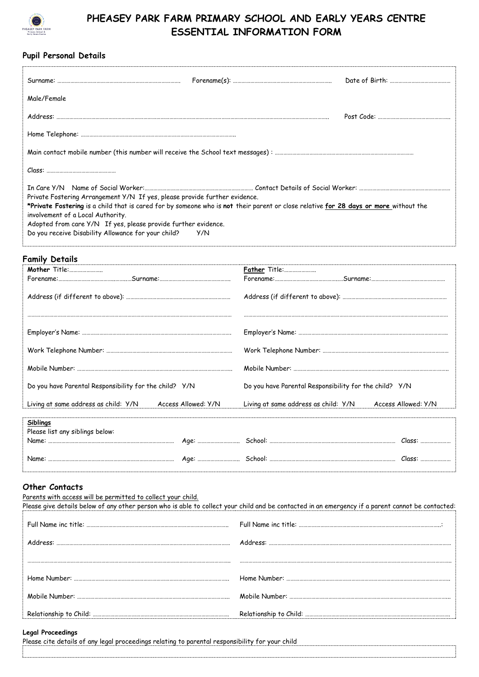

**Pupil Personal Details**

## **PHEASEY PARK FARM PRIMARY SCHOOL AND EARLY YEARS CENTRE ESSENTIAL INFORMATION FORM**

| Male/Female                                                                                                                                                               |                                 |  |
|---------------------------------------------------------------------------------------------------------------------------------------------------------------------------|---------------------------------|--|
|                                                                                                                                                                           |                                 |  |
|                                                                                                                                                                           |                                 |  |
|                                                                                                                                                                           |                                 |  |
|                                                                                                                                                                           |                                 |  |
|                                                                                                                                                                           |                                 |  |
| Private Fostering Arrangement Y/N If yes, please provide further evidence.                                                                                                |                                 |  |
| *Private Fostering is a child that is cared for by someone who is not their parent or close relative for 28 days or more without the<br>involvement of a Local Authority. |                                 |  |
| Adopted from care Y/N If yes, please provide further evidence.                                                                                                            |                                 |  |
| Do you receive Disability Allowance for your child?                                                                                                                       | Y/N                             |  |
| Family Details                                                                                                                                                            |                                 |  |
| Mother Title:                                                                                                                                                             | Father Title:                   |  |
|                                                                                                                                                                           |                                 |  |
| Address (if different to above)                                                                                                                                           | Address (if different to above) |  |

| Do you have Parental Responsibility for the child? Y/N   | Do you have Parental Responsibility for the child? Y/N   |
|----------------------------------------------------------|----------------------------------------------------------|
| Living at same address as child: Y/N Access Allowed: Y/N | Living at same address as child: Y/N Access Allowed: Y/N |
| <b>Siblings</b>                                          |                                                          |
| Please list any siblings below:                          |                                                          |
|                                                          |                                                          |
|                                                          |                                                          |

## **Other Contacts**

Parents with access will be permitted to collect your child.

| Please give details below of any other person who is able to collect your child and be contacted in an emergency if a parent cannot be contacted: |
|---------------------------------------------------------------------------------------------------------------------------------------------------|
|                                                                                                                                                   |
|                                                                                                                                                   |
|                                                                                                                                                   |
|                                                                                                                                                   |
|                                                                                                                                                   |
|                                                                                                                                                   |

## **Legal Proceedings**

Please cite details of any legal proceedings relating to parental responsibility for your child